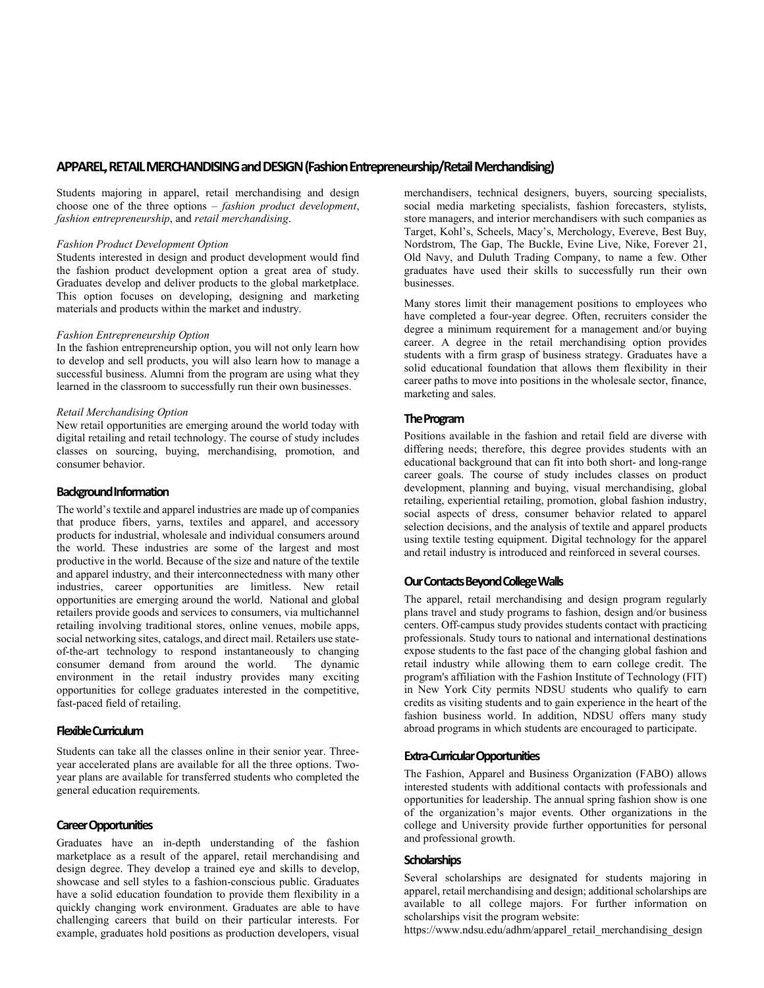## **APPAREL, RETAIL MERCHANDISING andDESIGN(Fashion Entrepreneurship/Retail Merchandising)**

Students majoring in apparel, retail merchandising and design choose one of the three options – *fashion product development*, *fashion entrepreneurship*, and *retail merchandising*.

#### *Fashion Product Development Option*

Students interested in design and product development would find the fashion product development option a great area of study. Graduates develop and deliver products to the global marketplace. This option focuses on developing, designing and marketing materials and products within the market and industry.

## *Fashion Entrepreneurship Option*

In the fashion entrepreneurship option, you will not only learn how to develop and sell products, you will also learn how to manage a successful business. Alumni from the program are using what they learned in the classroom to successfully run their own businesses.

## *Retail Merchandising Option*

New retail opportunities are emerging around the world today with digital retailing and retail technology. The course of study includes classes on sourcing, buying, merchandising, promotion, and consumer behavior.

## **Background Information**

The world's textile and apparel industries are made up of companies that produce fibers, yarns, textiles and apparel, and accessory products for industrial, wholesale and individual consumers around the world. These industries are some of the largest and most productive in the world. Because of the size and nature of the textile and apparel industry, and their interconnectedness with many other industries, career opportunities are limitless. New retail opportunities are emerging around the world. National and global retailers provide goods and services to consumers, via multichannel retailing involving traditional stores, online venues, mobile apps, social networking sites, catalogs, and direct mail. Retailers use stateof-the-art technology to respond instantaneously to changing consumer demand from around the world. The dynamic environment in the retail industry provides many exciting opportunities for college graduates interested in the competitive, fast-paced field of retailing.

### **Flexible Curriculum**

Students can take all the classes online in their senior year. Threeyear accelerated plans are available for all the three options. Twoyear plans are available for transferred students who completed the general education requirements.

# **Career Opportunities**

Graduates have an in-depth understanding of the fashion marketplace as a result of the apparel, retail merchandising and design degree. They develop a trained eye and skills to develop, showcase and sell styles to a fashion-conscious public. Graduates have a solid education foundation to provide them flexibility in a quickly changing work environment. Graduates are able to have challenging careers that build on their particular interests. For example, graduates hold positions as production developers, visual merchandisers, technical designers, buyers, sourcing specialists, social media marketing specialists, fashion forecasters, stylists, store managers, and interior merchandisers with such companies as Target, Kohl's, Scheels, Macy's, Merchology, Evereve, Best Buy, Nordstrom, The Gap, The Buckle, Evine Live, Nike, Forever 21, Old Navy, and Duluth Trading Company, to name a few. Other graduates have used their skills to successfully run their own businesses.

Many stores limit their management positions to employees who have completed a four-year degree. Often, recruiters consider the degree a minimum requirement for a management and/or buying career. A degree in the retail merchandising option provides students with a firm grasp of business strategy. Graduates have a solid educational foundation that allows them flexibility in their career paths to move into positions in the wholesale sector, finance, marketing and sales.

## **The Program**

Positions available in the fashion and retail field are diverse with differing needs; therefore, this degree provides students with an educational background that can fit into both short- and long-range career goals. The course of study includes classes on product development, planning and buying, visual merchandising, global retailing, experiential retailing, promotion, global fashion industry, social aspects of dress, consumer behavior related to apparel selection decisions, and the analysis of textile and apparel products using textile testing equipment. Digital technology for the apparel and retail industry is introduced and reinforced in several courses.

# **Our Contacts Beyond College Walls**

The apparel, retail merchandising and design program regularly plans travel and study programs to fashion, design and/or business centers. Off-campus study provides students contact with practicing professionals. Study tours to national and international destinations expose students to the fast pace of the changing global fashion and retail industry while allowing them to earn college credit. The program's affiliation with the Fashion Institute of Technology (FIT) in New York City permits NDSU students who qualify to earn credits as visiting students and to gain experience in the heart of the fashion business world. In addition, NDSU offers many study abroad programs in which students are encouraged to participate.

### **Extra-Curricular Opportunities**

The Fashion, Apparel and Business Organization (FABO) allows interested students with additional contacts with professionals and opportunities for leadership. The annual spring fashion show is one of the organization's major events. Other organizations in the college and University provide further opportunities for personal and professional growth.

### **Scholarships**

Several scholarships are designated for students majoring in apparel, retail merchandising and design; additional scholarships are available to all college majors. For further information on scholarships visit the program website:

https://www.ndsu.edu/adhm/apparel\_retail\_merchandising\_design